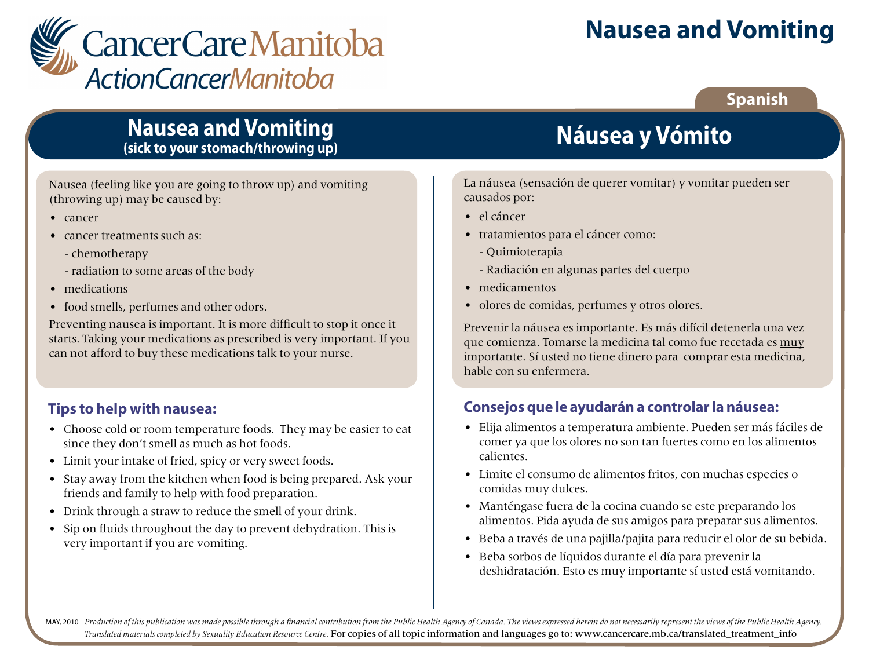

# **Nausea and Vomiting**

## **Spanish**

## **Nausea and Vomiting (sick to your stomach/throwing up)**

Nausea (feeling like you are going to throw up) and vomiting (throwing up) may be caused by:

- cancer
- cancer treatments such as:
	- chemotherapy
	- radiation to some areas of the body
- medications
- food smells, perfumes and other odors.

Preventing nausea is important. It is more difficult to stop it once it starts. Taking your medications as prescribed is very important. If you can not afford to buy these medications talk to your nurse.

### **Tips to help with nausea:**

- Choose cold or room temperature foods. They may be easier to eat since they don't smell as much as hot foods.
- Limit your intake of fried, spicy or very sweet foods.
- Stay away from the kitchen when food is being prepared. Ask your friends and family to help with food preparation.
- Drink through a straw to reduce the smell of your drink.
- Sip on fluids throughout the day to prevent dehydration. This is very important if you are vomiting.

# **Náusea y Vómito**

La náusea (sensación de querer vomitar) y vomitar pueden ser causados por:

- el cáncer
- tratamientos para el cáncer como:
	- Quimioterapia
	- Radiación en algunas partes del cuerpo
- medicamentos
- olores de comidas, perfumes y otros olores.

Prevenir la náusea es importante. Es más difícil detenerla una vez que comienza. Tomarse la medicina tal como fue recetada es muy importante. Sí usted no tiene dinero para comprar esta medicina, hable con su enfermera.

### **Consejos que le ayudarán a controlar la náusea:**

- Elija alimentos a temperatura ambiente. Pueden ser más fáciles de comer ya que los olores no son tan fuertes como en los alimentos calientes.
- Limite el consumo de alimentos fritos, con muchas especies o comidas muy dulces.
- Manténgase fuera de la cocina cuando se este preparando los alimentos. Pida ayuda de sus amigos para preparar sus alimentos.
- Beba a través de una pajilla/pajita para reducir el olor de su bebida.
- Beba sorbos de líquidos durante el día para prevenir la deshidratación. Esto es muy importante sí usted está vomitando.

MAY, 2010 Production of this publication was made possible through a financial contribution from the Public Health Agency of Canada. The views expressed herein do not necessarily represent the views of the Public Health Ag *Translated materials completed by Sexuality Education Resource Centre.* For copies of all topic information and languages go to: www.cancercare.mb.ca/translated\_treatment\_info